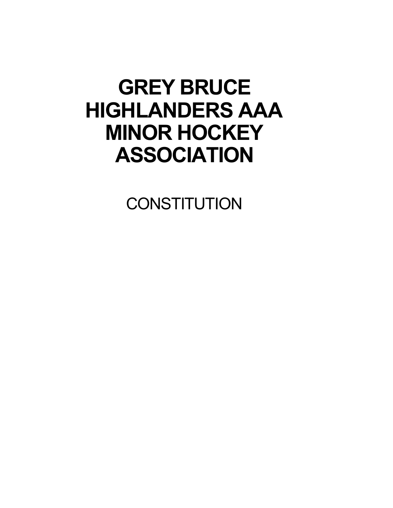# **GREY BRUCE HIGHLANDERS AAA MINOR HOCKEY ASSOCIATION**

**CONSTITUTION**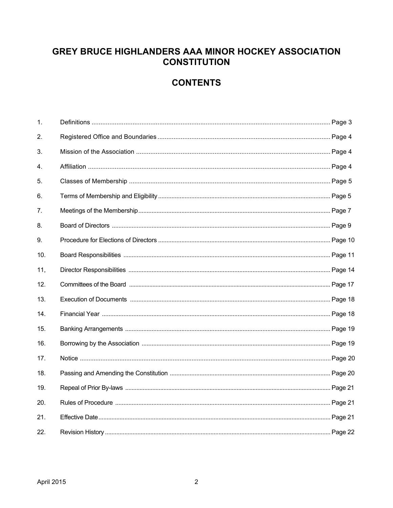## GREY BRUCE HIGHLANDERS AAA MINOR HOCKEY ASSOCIATION **CONSTITUTION**

# **CONTENTS**

| 1.  |  |
|-----|--|
| 2.  |  |
| 3.  |  |
| 4.  |  |
| 5.  |  |
| 6.  |  |
| 7.  |  |
| 8.  |  |
| 9.  |  |
| 10. |  |
| 11, |  |
| 12. |  |
| 13. |  |
| 14. |  |
| 15. |  |
| 16. |  |
| 17. |  |
| 18. |  |
| 19. |  |
| 20. |  |
| 21. |  |
| 22. |  |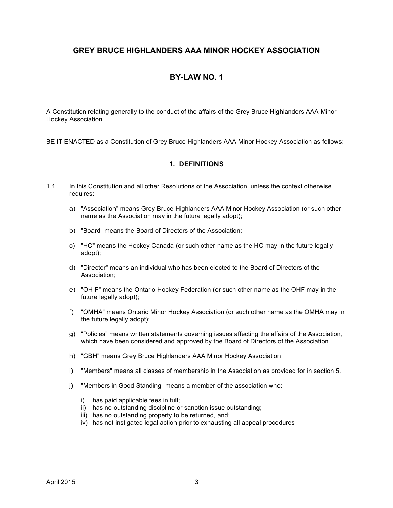## **GREY BRUCE HIGHLANDERS AAA MINOR HOCKEY ASSOCIATION**

## **BY-LAW NO. 1**

A Constitution relating generally to the conduct of the affairs of the Grey Bruce Highlanders AAA Minor Hockey Association.

BE IT ENACTED as a Constitution of Grey Bruce Highlanders AAA Minor Hockey Association as follows:

## **1. DEFINITIONS**

- 1.1 In this Constitution and all other Resolutions of the Association, unless the context otherwise requires:
	- a) "Association" means Grey Bruce Highlanders AAA Minor Hockey Association (or such other name as the Association may in the future legally adopt);
	- b) "Board" means the Board of Directors of the Association;
	- c) "HC" means the Hockey Canada (or such other name as the HC may in the future legally adopt);
	- d) "Director" means an individual who has been elected to the Board of Directors of the Association;
	- e) "OH F" means the Ontario Hockey Federation (or such other name as the OHF may in the future legally adopt);
	- f) "OMHA" means Ontario Minor Hockey Association (or such other name as the OMHA may in the future legally adopt);
	- g) "Policies" means written statements governing issues affecting the affairs of the Association, which have been considered and approved by the Board of Directors of the Association.
	- h) "GBH" means Grey Bruce Highlanders AAA Minor Hockey Association
	- i) "Members" means all classes of membership in the Association as provided for in section 5.
	- j) "Members in Good Standing" means a member of the association who:
		- i) has paid applicable fees in full;
		- ii) has no outstanding discipline or sanction issue outstanding;
		- iii) has no outstanding property to be returned, and;
		- iv) has not instigated legal action prior to exhausting all appeal procedures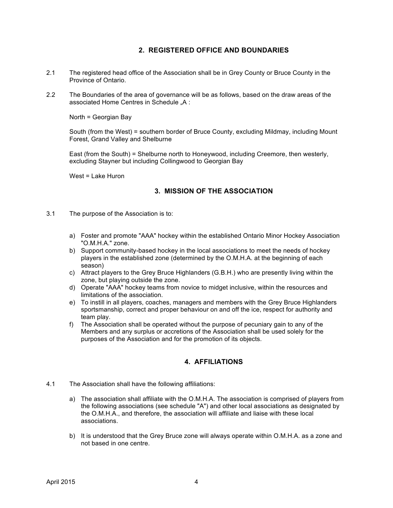## **2. REGISTERED OFFICE AND BOUNDARIES**

- 2.1 The registered head office of the Association shall be in Grey County or Bruce County in the Province of Ontario.
- 2.2 The Boundaries of the area of governance will be as follows, based on the draw areas of the associated Home Centres in Schedule "A:

North = Georgian Bay

South (from the West) = southern border of Bruce County, excluding Mildmay, including Mount Forest, Grand Valley and Shelburne

East (from the South) = Shelburne north to Honeywood, including Creemore, then westerly, excluding Stayner but including Collingwood to Georgian Bay

West = Lake Huron

## **3. MISSION OF THE ASSOCIATION**

- 3.1 The purpose of the Association is to:
	- a) Foster and promote "AAA" hockey within the established Ontario Minor Hockey Association "O.M.H.A." zone.
	- b) Support community-based hockey in the local associations to meet the needs of hockey players in the established zone (determined by the O.M.H.A. at the beginning of each season)
	- c) Attract players to the Grey Bruce Highlanders (G.B.H.) who are presently living within the zone, but playing outside the zone.
	- d) Operate "AAA" hockey teams from novice to midget inclusive, within the resources and limitations of the association.
	- e) To instill in all players, coaches, managers and members with the Grey Bruce Highlanders sportsmanship, correct and proper behaviour on and off the ice, respect for authority and team play.
	- f) The Association shall be operated without the purpose of pecuniary gain to any of the Members and any surplus or accretions of the Association shall be used solely for the purposes of the Association and for the promotion of its objects.

## **4. AFFILIATIONS**

- 4.1 The Association shall have the following affiliations:
	- a) The association shall affiliate with the O.M.H.A. The association is comprised of players from the following associations (see schedule "A") and other local associations as designated by the O.M.H.A., and therefore, the association will affiliate and liaise with these local associations.
	- b) It is understood that the Grey Bruce zone will always operate within O.M.H.A. as a zone and not based in one centre.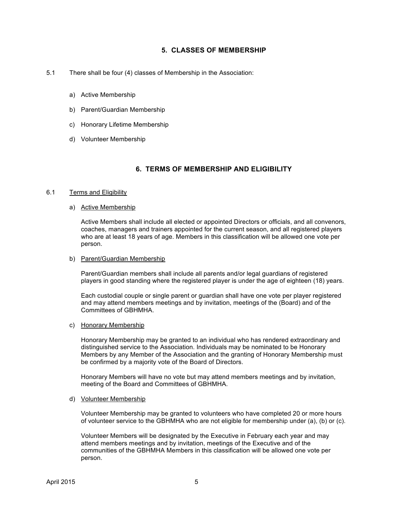## **5. CLASSES OF MEMBERSHIP**

- 5.1 There shall be four (4) classes of Membership in the Association:
	- a) Active Membership
	- b) Parent/Guardian Membership
	- c) Honorary Lifetime Membership
	- d) Volunteer Membership

## **6. TERMS OF MEMBERSHIP AND ELIGIBILITY**

#### 6.1 Terms and Eligibility

#### a) Active Membership

Active Members shall include all elected or appointed Directors or officials, and all convenors, coaches, managers and trainers appointed for the current season, and all registered players who are at least 18 years of age. Members in this classification will be allowed one vote per person.

#### b) Parent/Guardian Membership

Parent/Guardian members shall include all parents and/or legal guardians of registered players in good standing where the registered player is under the age of eighteen (18) years.

Each custodial couple or single parent or guardian shall have one vote per player registered and may attend members meetings and by invitation, meetings of the (Board) and of the Committees of GBHMHA.

#### c) Honorary Membership

Honorary Membership may be granted to an individual who has rendered extraordinary and distinguished service to the Association. Individuals may be nominated to be Honorary Members by any Member of the Association and the granting of Honorary Membership must be confirmed by a majority vote of the Board of Directors.

Honorary Members will have no vote but may attend members meetings and by invitation, meeting of the Board and Committees of GBHMHA.

#### d) Volunteer Membership

Volunteer Membership may be granted to volunteers who have completed 20 or more hours of volunteer service to the GBHMHA who are not eligible for membership under (a), (b) or (c).

Volunteer Members will be designated by the Executive in February each year and may attend members meetings and by invitation, meetings of the Executive and of the communities of the GBHMHA Members in this classification will be allowed one vote per person.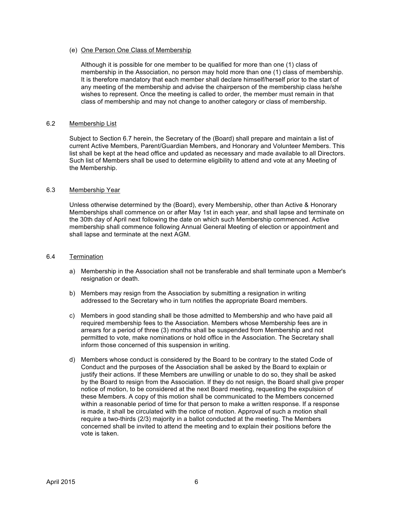#### (e) One Person One Class of Membership

Although it is possible for one member to be qualified for more than one (1) class of membership in the Association, no person may hold more than one (1) class of membership. It is therefore mandatory that each member shall declare himself/herself prior to the start of any meeting of the membership and advise the chairperson of the membership class he/she wishes to represent. Once the meeting is called to order, the member must remain in that class of membership and may not change to another category or class of membership.

#### 6.2 Membership List

Subject to Section 6.7 herein, the Secretary of the (Board) shall prepare and maintain a list of current Active Members, Parent/Guardian Members, and Honorary and Volunteer Members. This list shall be kept at the head office and updated as necessary and made available to all Directors. Such list of Members shall be used to determine eligibility to attend and vote at any Meeting of the Membership.

#### 6.3 Membership Year

Unless otherwise determined by the (Board), every Membership, other than Active & Honorary Memberships shall commence on or after May 1st in each year, and shall lapse and terminate on the 30th day of April next following the date on which such Membership commenced. Active membership shall commence following Annual General Meeting of election or appointment and shall lapse and terminate at the next AGM.

#### 6.4 Termination

- a) Membership in the Association shall not be transferable and shall terminate upon a Member's resignation or death.
- b) Members may resign from the Association by submitting a resignation in writing addressed to the Secretary who in turn notifies the appropriate Board members.
- c) Members in good standing shall be those admitted to Membership and who have paid all required membership fees to the Association. Members whose Membership fees are in arrears for a period of three (3) months shall be suspended from Membership and not permitted to vote, make nominations or hold office in the Association. The Secretary shall inform those concerned of this suspension in writing.
- d) Members whose conduct is considered by the Board to be contrary to the stated Code of Conduct and the purposes of the Association shall be asked by the Board to explain or justify their actions. If these Members are unwilling or unable to do so, they shall be asked by the Board to resign from the Association. If they do not resign, the Board shall give proper notice of motion, to be considered at the next Board meeting, requesting the expulsion of these Members. A copy of this motion shall be communicated to the Members concerned within a reasonable period of time for that person to make a written response. If a response is made, it shall be circulated with the notice of motion. Approval of such a motion shall require a two-thirds (2/3) majority in a ballot conducted at the meeting. The Members concerned shall be invited to attend the meeting and to explain their positions before the vote is taken.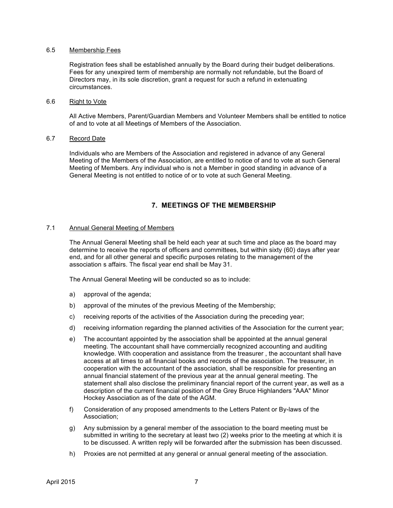#### 6.5 Membership Fees

Registration fees shall be established annually by the Board during their budget deliberations. Fees for any unexpired term of membership are normally not refundable, but the Board of Directors may, in its sole discretion, grant a request for such a refund in extenuating circumstances.

#### 6.6 Right to Vote

All Active Members, Parent/Guardian Members and Volunteer Members shall be entitled to notice of and to vote at all Meetings of Members of the Association.

#### 6.7 Record Date

Individuals who are Members of the Association and registered in advance of any General Meeting of the Members of the Association, are entitled to notice of and to vote at such General Meeting of Members. Any individual who is not a Member in good standing in advance of a General Meeting is not entitled to notice of or to vote at such General Meeting.

## **7. MEETINGS OF THE MEMBERSHIP**

#### 7.1 Annual General Meeting of Members

The Annual General Meeting shall be held each year at such time and place as the board may determine to receive the reports of officers and committees, but within sixty (60) days after year end, and for all other general and specific purposes relating to the management of the association s affairs. The fiscal year end shall be May 31.

The Annual General Meeting will be conducted so as to include:

- a) approval of the agenda;
- b) approval of the minutes of the previous Meeting of the Membership;
- c) receiving reports of the activities of the Association during the preceding year;
- d) receiving information regarding the planned activities of the Association for the current year;
- e) The accountant appointed by the association shall be appointed at the annual general meeting. The accountant shall have commercially recognized accounting and auditing knowledge. With cooperation and assistance from the treasurer , the accountant shall have access at all times to all financial books and records of the association. The treasurer, in cooperation with the accountant of the association, shall be responsible for presenting an annual financial statement of the previous year at the annual general meeting. The statement shall also disclose the preliminary financial report of the current year, as well as a description of the current financial position of the Grey Bruce Highlanders "AAA" Minor Hockey Association as of the date of the AGM.
- f) Consideration of any proposed amendments to the Letters Patent or By-laws of the Association;
- g) Any submission by a general member of the association to the board meeting must be submitted in writing to the secretary at least two (2) weeks prior to the meeting at which it is to be discussed. A written reply will be forwarded after the submission has been discussed.
- h) Proxies are not permitted at any general or annual general meeting of the association.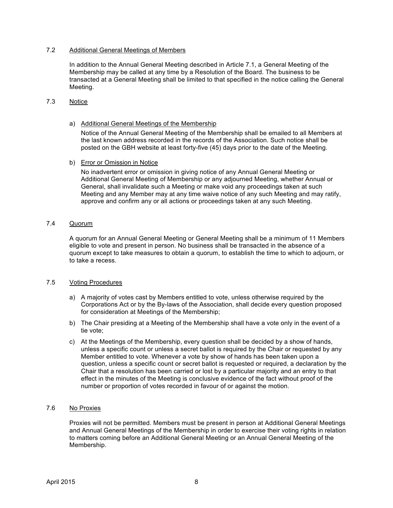## 7.2 Additional General Meetings of Members

In addition to the Annual General Meeting described in Article 7.1, a General Meeting of the Membership may be called at any time by a Resolution of the Board. The business to be transacted at a General Meeting shall be limited to that specified in the notice calling the General Meeting.

#### 7.3 Notice

a) Additional General Meetings of the Membership

Notice of the Annual General Meeting of the Membership shall be emailed to all Members at the last known address recorded in the records of the Association. Such notice shall be posted on the GBH website at least forty-five (45) days prior to the date of the Meeting.

b) Error or Omission in Notice

No inadvertent error or omission in giving notice of any Annual General Meeting or Additional General Meeting of Membership or any adjourned Meeting, whether Annual or General, shall invalidate such a Meeting or make void any proceedings taken at such Meeting and any Member may at any time waive notice of any such Meeting and may ratify, approve and confirm any or all actions or proceedings taken at any such Meeting.

## 7.4 Quorum

A quorum for an Annual General Meeting or General Meeting shall be a minimum of 11 Members eligible to vote and present in person. No business shall be transacted in the absence of a quorum except to take measures to obtain a quorum, to establish the time to which to adjourn, or to take a recess.

#### 7.5 Voting Procedures

- a) A majority of votes cast by Members entitled to vote, unless otherwise required by the Corporations Act or by the By-laws of the Association, shall decide every question proposed for consideration at Meetings of the Membership;
- b) The Chair presiding at a Meeting of the Membership shall have a vote only in the event of a tie vote;
- c) At the Meetings of the Membership, every question shall be decided by a show of hands, unless a specific count or unless a secret ballot is required by the Chair or requested by any Member entitled to vote. Whenever a vote by show of hands has been taken upon a question, unless a specific count or secret ballot is requested or required, a declaration by the Chair that a resolution has been carried or lost by a particular majority and an entry to that effect in the minutes of the Meeting is conclusive evidence of the fact without proof of the number or proportion of votes recorded in favour of or against the motion.

#### 7.6 No Proxies

Proxies will not be permitted. Members must be present in person at Additional General Meetings and Annual General Meetings of the Membership in order to exercise their voting rights in relation to matters coming before an Additional General Meeting or an Annual General Meeting of the Membership.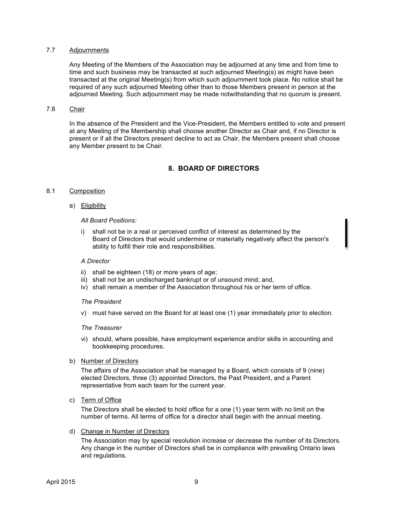#### 7.7 Adjournments

Any Meeting of the Members of the Association may be adjourned at any time and from time to time and such business may be transacted at such adjourned Meeting(s) as might have been transacted at the original Meeting(s) from which such adjournment took place. No notice shall be required of any such adjourned Meeting other than to those Members present in person at the adjourned Meeting. Such adjournment may be made notwithstanding that no quorum is present.

#### 7.8 Chair

In the absence of the President and the Vice-President, the Members entitled to vote and present at any Meeting of the Membership shall choose another Director as Chair and, if no Director is present or if all the Directors present decline to act as Chair, the Members present shall choose any Member present to be Chair.

## **8. BOARD OF DIRECTORS**

#### 8.1 Composition

a) Eligibility

#### *All Board Positions:*

i) shall not be in a real or perceived conflict of interest as determined by the Board of Directors that would undermine or materially negatively affect the person's ability to fulfill their role and responsibilities.

#### *A Director*

- ii) shall be eighteen (18) or more years of age;
- iii) shall not be an undischarged bankrupt or of unsound mind; and,
- iv) shall remain a member of the Association throughout his or her term of office.

#### *The President*

v) must have served on the Board for at least one (1) year immediately prior to election.

#### *The Treasurer*

- vi) should, where possible, have employment experience and/or skills in accounting and bookkeeping procedures.
- b) Number of Directors

The affairs of the Association shall be managed by a Board, which consists of 9 (nine) elected Directors, three (3) appointed Directors, the Past President, and a Parent representative from each team for the current year.

c) Term of Office

The Directors shall be elected to hold office for a one (1) year term with no limit on the number of terms. All terms of office for a director shall begin with the annual meeting.

d) Change in Number of Directors

The Association may by special resolution increase or decrease the number of its Directors. Any change in the number of Directors shall be in compliance with prevailing Ontario laws and regulations.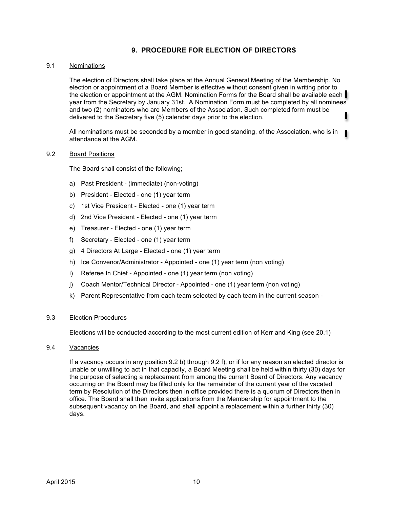## **9. PROCEDURE FOR ELECTION OF DIRECTORS**

#### 9.1 Nominations

The election of Directors shall take place at the Annual General Meeting of the Membership. No election or appointment of a Board Member is effective without consent given in writing prior to the election or appointment at the AGM. Nomination Forms for the Board shall be available each year from the Secretary by January 31st. A Nomination Form must be completed by all nominees and two (2) nominators who are Members of the Association. Such completed form must be delivered to the Secretary five (5) calendar days prior to the election.

All nominations must be seconded by a member in good standing, of the Association, who is in ٠ attendance at the AGM.

#### 9.2 Board Positions

The Board shall consist of the following;

- a) Past President (immediate) (non-voting)
- b) President Elected one (1) year term
- c) 1st Vice President Elected one (1) year term
- d) 2nd Vice President Elected one (1) year term
- e) Treasurer Elected one (1) year term
- f) Secretary Elected one (1) year term
- g) 4 Directors At Large Elected one (1) year term
- h) Ice Convenor/Administrator Appointed one (1) year term (non voting)
- i) Referee In Chief Appointed one (1) year term (non voting)
- j) Coach Mentor/Technical Director Appointed one (1) year term (non voting)
- k) Parent Representative from each team selected by each team in the current season -

#### 9.3 Election Procedures

Elections will be conducted according to the most current edition of Kerr and King (see 20.1)

9.4 Vacancies

If a vacancy occurs in any position 9.2 b) through 9.2 f), or if for any reason an elected director is unable or unwilling to act in that capacity, a Board Meeting shall be held within thirty (30) days for the purpose of selecting a replacement from among the current Board of Directors. Any vacancy occurring on the Board may be filled only for the remainder of the current year of the vacated term by Resolution of the Directors then in office provided there is a quorum of Directors then in office. The Board shall then invite applications from the Membership for appointment to the subsequent vacancy on the Board, and shall appoint a replacement within a further thirty (30) days.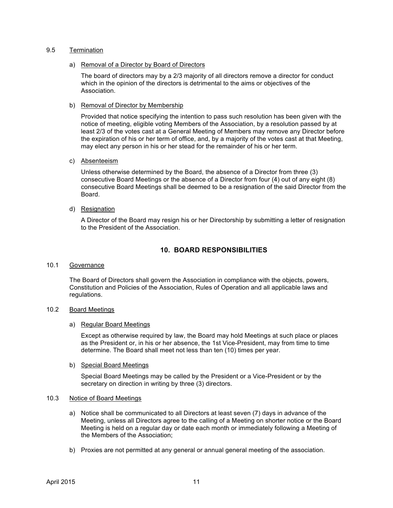#### 9.5 Termination

a) Removal of a Director by Board of Directors

The board of directors may by a 2/3 majority of all directors remove a director for conduct which in the opinion of the directors is detrimental to the aims or objectives of the Association.

b) Removal of Director by Membership

Provided that notice specifying the intention to pass such resolution has been given with the notice of meeting, eligible voting Members of the Association, by a resolution passed by at least 2/3 of the votes cast at a General Meeting of Members may remove any Director before the expiration of his or her term of office, and, by a majority of the votes cast at that Meeting, may elect any person in his or her stead for the remainder of his or her term.

c) Absenteeism

Unless otherwise determined by the Board, the absence of a Director from three (3) consecutive Board Meetings or the absence of a Director from four (4) out of any eight (8) consecutive Board Meetings shall be deemed to be a resignation of the said Director from the Board.

d) Resignation

A Director of the Board may resign his or her Directorship by submitting a letter of resignation to the President of the Association.

## **10. BOARD RESPONSIBILITIES**

10.1 Governance

The Board of Directors shall govern the Association in compliance with the objects, powers, Constitution and Policies of the Association, Rules of Operation and all applicable laws and regulations.

#### 10.2 Board Meetings

a) Regular Board Meetings

Except as otherwise required by law, the Board may hold Meetings at such place or places as the President or, in his or her absence, the 1st Vice-President, may from time to time determine. The Board shall meet not less than ten (10) times per year.

b) Special Board Meetings

Special Board Meetings may be called by the President or a Vice-President or by the secretary on direction in writing by three (3) directors.

#### 10.3 Notice of Board Meetings

- a) Notice shall be communicated to all Directors at least seven (7) days in advance of the Meeting, unless all Directors agree to the calling of a Meeting on shorter notice or the Board Meeting is held on a regular day or date each month or immediately following a Meeting of the Members of the Association;
- b) Proxies are not permitted at any general or annual general meeting of the association.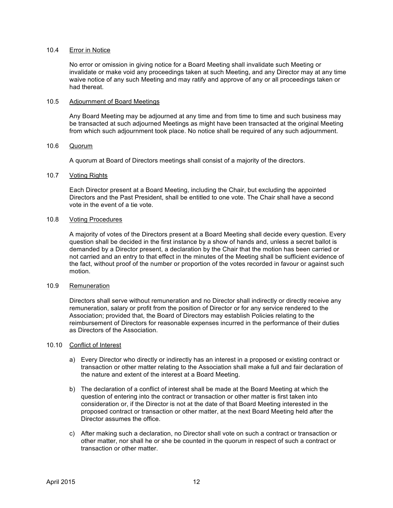#### 10.4 Error in Notice

No error or omission in giving notice for a Board Meeting shall invalidate such Meeting or invalidate or make void any proceedings taken at such Meeting, and any Director may at any time waive notice of any such Meeting and may ratify and approve of any or all proceedings taken or had thereat.

#### 10.5 Adjournment of Board Meetings

Any Board Meeting may be adjourned at any time and from time to time and such business may be transacted at such adjourned Meetings as might have been transacted at the original Meeting from which such adjournment took place. No notice shall be required of any such adjournment.

#### 10.6 Quorum

A quorum at Board of Directors meetings shall consist of a majority of the directors.

#### 10.7 Voting Rights

Each Director present at a Board Meeting, including the Chair, but excluding the appointed Directors and the Past President, shall be entitled to one vote. The Chair shall have a second vote in the event of a tie vote.

#### 10.8 Voting Procedures

A majority of votes of the Directors present at a Board Meeting shall decide every question. Every question shall be decided in the first instance by a show of hands and, unless a secret ballot is demanded by a Director present, a declaration by the Chair that the motion has been carried or not carried and an entry to that effect in the minutes of the Meeting shall be sufficient evidence of the fact, without proof of the number or proportion of the votes recorded in favour or against such motion.

#### 10.9 Remuneration

Directors shall serve without remuneration and no Director shall indirectly or directly receive any remuneration, salary or profit from the position of Director or for any service rendered to the Association; provided that, the Board of Directors may establish Policies relating to the reimbursement of Directors for reasonable expenses incurred in the performance of their duties as Directors of the Association.

#### 10.10 Conflict of Interest

- a) Every Director who directly or indirectly has an interest in a proposed or existing contract or transaction or other matter relating to the Association shall make a full and fair declaration of the nature and extent of the interest at a Board Meeting.
- b) The declaration of a conflict of interest shall be made at the Board Meeting at which the question of entering into the contract or transaction or other matter is first taken into consideration or, if the Director is not at the date of that Board Meeting interested in the proposed contract or transaction or other matter, at the next Board Meeting held after the Director assumes the office.
- c) After making such a declaration, no Director shall vote on such a contract or transaction or other matter, nor shall he or she be counted in the quorum in respect of such a contract or transaction or other matter.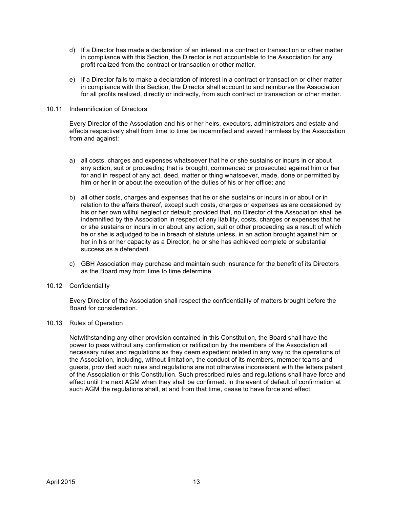- d) If a Director has made a declaration of an interest in a contract or transaction or other matter in compliance with this Section, the Director is not accountable to the Association for any profit realized from the contract or transaction or other matter.
- e) If a Director fails to make a declaration of interest in a contract or transaction or other matter in compliance with this Section, the Director shall account to and reimburse the Association for all profits realized, directly or indirectly, from such contract or transaction or other matter.

#### 10.11 Indemnification of Directors

Every Director of the Association and his or her heirs, executors, administrators and estate and effects respectively shall from time to time be indemnified and saved harmless by the Association from and against:

- a) all costs, charges and expenses whatsoever that he or she sustains or incurs in or about any action, suit or proceeding that is brought, commenced or prosecuted against him or her for and in respect of any act, deed, matter or thing whatsoever, made, done or permitted by him or her in or about the execution of the duties of his or her office; and
- b) all other costs, charges and expenses that he or she sustains or incurs in or about or in relation to the affairs thereof, except such costs, charges or expenses as are occasioned by his or her own willful neglect or default; provided that, no Director of the Association shall be indemnified by the Association in respect of any liability, costs, charges or expenses that he or she sustains or incurs in or about any action, suit or other proceeding as a result of which he or she is adjudged to be in breach of statute unless, in an action brought against him or her in his or her capacity as a Director, he or she has achieved complete or substantial success as a defendant.
- c) GBH Association may purchase and maintain such insurance for the benefit of its Directors as the Board may from time to time determine.

## 10.12 Confidentiality

Every Director of the Association shall respect the confidentiality of matters brought before the Board for consideration.

#### 10.13 Rules of Operation

Notwithstanding any other provision contained in this Constitution, the Board shall have the power to pass without any confirmation or ratification by the members of the Association all necessary rules and regulations as they deem expedient related in any way to the operations of the Association, including, without limitation, the conduct of its members, member teams and guests, provided such rules and regulations are not otherwise inconsistent with the letters patent of the Association or this Constitution. Such prescribed rules and regulations shall have force and effect until the next AGM when they shall be confirmed. In the event of default of confirmation at such AGM the regulations shall, at and from that time, cease to have force and effect.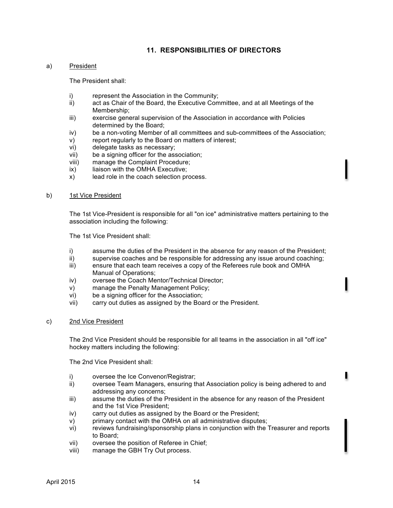## **11. RESPONSIBILITIES OF DIRECTORS**

#### a) President

The President shall:

- i) represent the Association in the Community;
- ii) act as Chair of the Board, the Executive Committee, and at all Meetings of the Membership;
- iii) exercise general supervision of the Association in accordance with Policies determined by the Board;
- iv) be a non-voting Member of all committees and sub-committees of the Association;
- v) report regularly to the Board on matters of interest;
- vi) delegate tasks as necessary;
- vii) be a signing officer for the association;
- viii) manage the Complaint Procedure;
- ix) liaison with the OMHA Executive;
- x) lead role in the coach selection process.

#### b) 1st Vice President

The 1st Vice-President is responsible for all "on ice" administrative matters pertaining to the association including the following:

The 1st Vice President shall:

- i) assume the duties of the President in the absence for any reason of the President;
- ii) supervise coaches and be responsible for addressing any issue around coaching;
- iii) ensure that each team receives a copy of the Referees rule book and OMHA Manual of Operations;
- iv) oversee the Coach Mentor/Technical Director;
- v) manage the Penalty Management Policy;
- vi) be a signing officer for the Association;
- vii) carry out duties as assigned by the Board or the President.

#### c) 2nd Vice President

The 2nd Vice President should be responsible for all teams in the association in all "off ice" hockey matters including the following:

The 2nd Vice President shall:

- i) oversee the Ice Convenor/Registrar;
- ii) oversee Team Managers, ensuring that Association policy is being adhered to and addressing any concerns;
- iii) assume the duties of the President in the absence for any reason of the President and the 1st Vice President;
- iv) carry out duties as assigned by the Board or the President;
- v) primary contact with the OMHA on all administrative disputes;
- vi) reviews fundraising/sponsorship plans in conjunction with the Treasurer and reports to Board;
- vii) oversee the position of Referee in Chief;
- viii) manage the GBH Try Out process.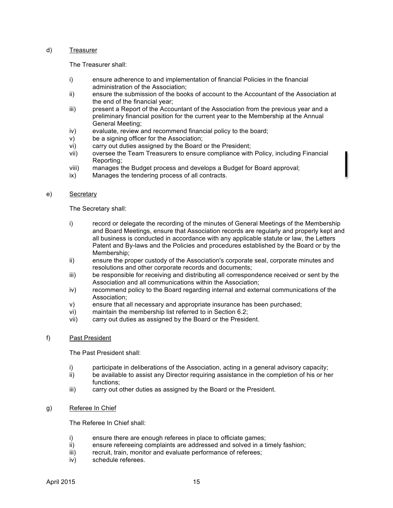#### d) Treasurer

The Treasurer shall:

- i) ensure adherence to and implementation of financial Policies in the financial administration of the Association;
- ii) ensure the submission of the books of account to the Accountant of the Association at the end of the financial year;
- iii) present a Report of the Accountant of the Association from the previous year and a preliminary financial position for the current year to the Membership at the Annual General Meeting;
- iv) evaluate, review and recommend financial policy to the board;
- v) be a signing officer for the Association;
- vi) carry out duties assigned by the Board or the President;
- vii) oversee the Team Treasurers to ensure compliance with Policy, including Financial Reporting;
- viii) manages the Budget process and develops a Budget for Board approval;
- ix) Manages the tendering process of all contracts.

#### e) Secretary

The Secretary shall:

- i) record or delegate the recording of the minutes of General Meetings of the Membership and Board Meetings, ensure that Association records are regularly and properly kept and all business is conducted in accordance with any applicable statute or law, the Letters Patent and By-laws and the Policies and procedures established by the Board or by the Membership;
- ii) ensure the proper custody of the Association's corporate seal, corporate minutes and resolutions and other corporate records and documents;
- iii) be responsible for receiving and distributing all correspondence received or sent by the Association and all communications within the Association;
- iv) recommend policy to the Board regarding internal and external communications of the Association;
- v) ensure that all necessary and appropriate insurance has been purchased;
- vi) maintain the membership list referred to in Section 6.2;
- vii) carry out duties as assigned by the Board or the President.

#### f) Past President

The Past President shall:

- i) participate in deliberations of the Association, acting in a general advisory capacity;
- ii) be available to assist any Director requiring assistance in the completion of his or her functions;
- iii) carry out other duties as assigned by the Board or the President.

#### g) Referee In Chief

The Referee In Chief shall:

- i) ensure there are enough referees in place to officiate games;
- ii) ensure refereeing complaints are addressed and solved in a timely fashion;
- iii) recruit, train, monitor and evaluate performance of referees;
- iv) schedule referees.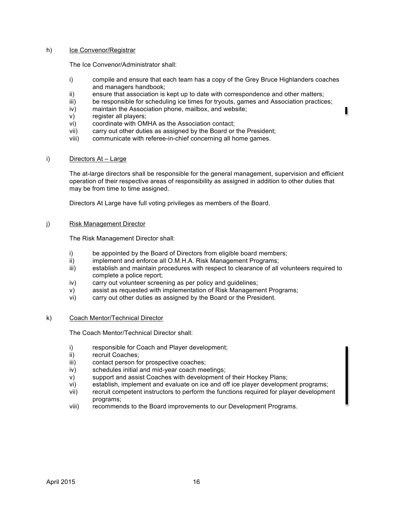#### h) Ice Convenor/Registrar

The Ice Convenor/Administrator shall:

- i) compile and ensure that each team has a copy of the Grey Bruce Highlanders coaches and managers handbook;
- ii) ensure that association is kept up to date with correspondence and other matters;
- iii) be responsible for scheduling ice times for tryouts, games and Association practices;
- iv) maintain the Association phone, mailbox, and website;
- v) register all players;
- vi) coordinate with OMHA as the Association contact;
- vii) carry out other duties as assigned by the Board or the President;
- viii) communicate with referee-in-chief concerning all home games.

#### i) Directors At – Large

The at-large directors shall be responsible for the general management, supervision and efficient operation of their respective areas of responsibility as assigned in addition to other duties that may be from time to time assigned.

Directors At Large have full voting privileges as members of the Board.

#### j) Risk Management Director

The Risk Management Director shall:

- i) be appointed by the Board of Directors from eligible board members;
- ii) implement and enforce all O.M.H.A. Risk Management Programs;
- iii) establish and maintain procedures with respect to clearance of all volunteers required to complete a police report;
- iv) carry out volunteer screening as per policy and guidelines;
- v) assist as requested with implementation of Risk Management Programs;
- vi) carry out other duties as assigned by the Board or the President.

#### k) Coach Mentor/Technical Director

The Coach Mentor/Technical Director shall:

- i) responsible for Coach and Player development;
- ii) recruit Coaches;
- iii) contact person for prospective coaches;
- iv) schedules initial and mid-year coach meetings;
- v) support and assist Coaches with development of their Hockey Plans;
- vi) establish, implement and evaluate on ice and off ice player development programs;
- vii) recruit competent instructors to perform the functions required for player development programs;
- viii) recommends to the Board improvements to our Development Programs.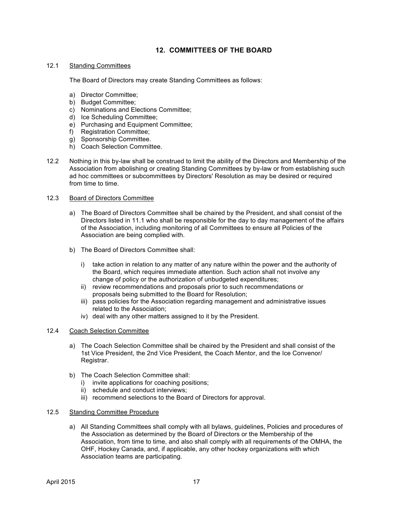## **12. COMMITTEES OF THE BOARD**

#### 12.1 Standing Committees

The Board of Directors may create Standing Committees as follows:

- a) Director Committee;
- b) Budget Committee;
- c) Nominations and Elections Committee;
- d) Ice Scheduling Committee;
- e) Purchasing and Equipment Committee;
- f) Registration Committee;
- g) Sponsorship Committee.
- h) Coach Selection Committee.
- 12.2 Nothing in this by-law shall be construed to limit the ability of the Directors and Membership of the Association from abolishing or creating Standing Committees by by-law or from establishing such ad hoc committees or subcommittees by Directors' Resolution as may be desired or required from time to time.

#### 12.3 Board of Directors Committee

- a) The Board of Directors Committee shall be chaired by the President, and shall consist of the Directors listed in 11.1 who shall be responsible for the day to day management of the affairs of the Association, including monitoring of all Committees to ensure all Policies of the Association are being complied with.
- b) The Board of Directors Committee shall:
	- i) take action in relation to any matter of any nature within the power and the authority of the Board, which requires immediate attention. Such action shall not involve any change of policy or the authorization of unbudgeted expenditures;
	- ii) review recommendations and proposals prior to such recommendations or proposals being submitted to the Board for Resolution;
	- iii) pass policies for the Association regarding management and administrative issues related to the Association;
	- iv) deal with any other matters assigned to it by the President.

## 12.4 Coach Selection Committee

- a) The Coach Selection Committee shall be chaired by the President and shall consist of the 1st Vice President, the 2nd Vice President, the Coach Mentor, and the Ice Convenor/ Registrar.
- b) The Coach Selection Committee shall:
	- i) invite applications for coaching positions;
	- ii) schedule and conduct interviews;
	- iii) recommend selections to the Board of Directors for approval.

#### 12.5 Standing Committee Procedure

a) All Standing Committees shall comply with all bylaws, guidelines, Policies and procedures of the Association as determined by the Board of Directors or the Membership of the Association, from time to time, and also shall comply with all requirements of the OMHA, the OHF, Hockey Canada, and, if applicable, any other hockey organizations with which Association teams are participating.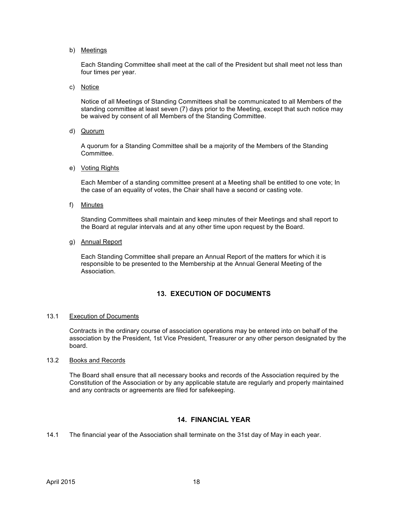b) Meetings

Each Standing Committee shall meet at the call of the President but shall meet not less than four times per year.

c) Notice

Notice of all Meetings of Standing Committees shall be communicated to all Members of the standing committee at least seven (7) days prior to the Meeting, except that such notice may be waived by consent of all Members of the Standing Committee.

d) Quorum

A quorum for a Standing Committee shall be a majority of the Members of the Standing Committee.

e) Voting Rights

Each Member of a standing committee present at a Meeting shall be entitled to one vote; In the case of an equality of votes, the Chair shall have a second or casting vote.

f) Minutes

Standing Committees shall maintain and keep minutes of their Meetings and shall report to the Board at regular intervals and at any other time upon request by the Board.

g) Annual Report

Each Standing Committee shall prepare an Annual Report of the matters for which it is responsible to be presented to the Membership at the Annual General Meeting of the Association.

## **13. EXECUTION OF DOCUMENTS**

#### 13.1 Execution of Documents

Contracts in the ordinary course of association operations may be entered into on behalf of the association by the President, 1st Vice President, Treasurer or any other person designated by the board.

#### 13.2 Books and Records

The Board shall ensure that all necessary books and records of the Association required by the Constitution of the Association or by any applicable statute are regularly and properly maintained and any contracts or agreements are filed for safekeeping.

## **14. FINANCIAL YEAR**

14.1 The financial year of the Association shall terminate on the 31st day of May in each year.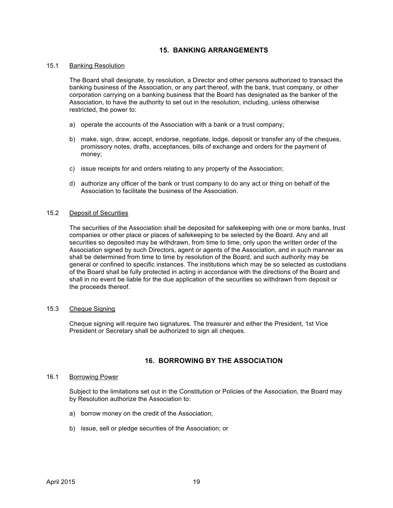## **15. BANKING ARRANGEMENTS**

#### 15.1 Banking Resolution

The Board shall designate, by resolution, a Director and other persons authorized to transact the banking business of the Association, or any part thereof, with the bank, trust company, or other corporation carrying on a banking business that the Board has designated as the banker of the Association, to have the authority to set out in the resolution, including, unless otherwise restricted, the power to:

- a) operate the accounts of the Association with a bank or a trust company;
- b) make, sign, draw, accept, endorse, negotiate, lodge, deposit or transfer any of the cheques, promissory notes, drafts, acceptances, bills of exchange and orders for the payment of money;
- c) issue receipts for and orders relating to any property of the Association;
- d) authorize any officer of the bank or trust company to do any act or thing on behalf of the Association to facilitate the business of the Association.

#### 15.2 Deposit of Securities

The securities of the Association shall be deposited for safekeeping with one or more banks, trust companies or other place or places of safekeeping to be selected by the Board. Any and all securities so deposited may be withdrawn, from time to time, only upon the written order of the Association signed by such Directors, agent or agents of the Association, and in such manner as shall be determined from time to time by resolution of the Board, and such authority may be general or confined to specific instances. The institutions which may be so selected as custodians of the Board shall be fully protected in acting in accordance with the directions of the Board and shall in no event be liable for the due application of the securities so withdrawn from deposit or the proceeds thereof.

#### 15.3 Cheque Signing

Cheque signing will require two signatures. The treasurer and either the President, 1st Vice President or Secretary shall be authorized to sign all cheques.

## **16. BORROWING BY THE ASSOCIATION**

#### 16.1 Borrowing Power

Subject to the limitations set out in the Constitution or Policies of the Association, the Board may by Resolution authorize the Association to:

- a) borrow money on the credit of the Association;
- b) issue, sell or pledge securities of the Association; or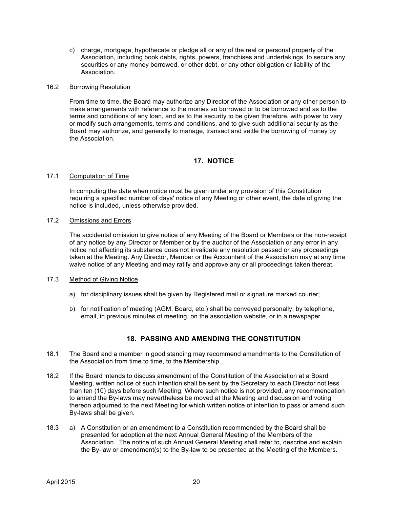c) charge, mortgage, hypothecate or pledge all or any of the real or personal property of the Association, including book debts, rights, powers, franchises and undertakings, to secure any securities or any money borrowed, or other debt, or any other obligation or liability of the Association.

#### 16.2 Borrowing Resolution

From time to time, the Board may authorize any Director of the Association or any other person to make arrangements with reference to the monies so borrowed or to be borrowed and as to the terms and conditions of any loan, and as to the security to be given therefore, with power to vary or modify such arrangements, terms and conditions, and to give such additional security as the Board may authorize, and generally to manage, transact and settle the borrowing of money by the Association.

## **17. NOTICE**

#### 17.1 Computation of Time

In computing the date when notice must be given under any provision of this Constitution requiring a specified number of days' notice of any Meeting or other event, the date of giving the notice is included, unless otherwise provided.

#### 17.2 Omissions and Errors

The accidental omission to give notice of any Meeting of the Board or Members or the non-receipt of any notice by any Director or Member or by the auditor of the Association or any error in any notice not affecting its substance does not invalidate any resolution passed or any proceedings taken at the Meeting. Any Director, Member or the Accountant of the Association may at any time waive notice of any Meeting and may ratify and approve any or all proceedings taken thereat.

#### 17.3 Method of Giving Notice

- a) for disciplinary issues shall be given by Registered mail or signature marked courier;
- b) for notification of meeting (AGM, Board, etc.) shall be conveyed personally, by telephone, email, in previous minutes of meeting, on the association website, or in a newspaper.

## **18. PASSING AND AMENDING THE CONSTITUTION**

- 18.1 The Board and a member in good standing may recommend amendments to the Constitution of the Association from time to time, to the Membership.
- 18.2 If the Board intends to discuss amendment of the Constitution of the Association at a Board Meeting, written notice of such intention shall be sent by the Secretary to each Director not less than ten (10) days before such Meeting. Where such notice is not provided, any recommendation to amend the By-laws may nevertheless be moved at the Meeting and discussion and voting thereon adjourned to the next Meeting for which written notice of intention to pass or amend such By-laws shall be given.
- 18.3 a) A Constitution or an amendment to a Constitution recommended by the Board shall be presented for adoption at the next Annual General Meeting of the Members of the Association. The notice of such Annual General Meeting shall refer to, describe and explain the By-law or amendment(s) to the By-law to be presented at the Meeting of the Members.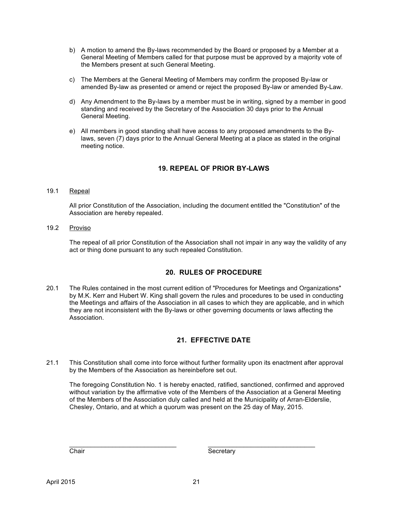- b) A motion to amend the By-laws recommended by the Board or proposed by a Member at a General Meeting of Members called for that purpose must be approved by a majority vote of the Members present at such General Meeting.
- c) The Members at the General Meeting of Members may confirm the proposed By-law or amended By-law as presented or amend or reject the proposed By-law or amended By-Law.
- d) Any Amendment to the By-laws by a member must be in writing, signed by a member in good standing and received by the Secretary of the Association 30 days prior to the Annual General Meeting.
- e) All members in good standing shall have access to any proposed amendments to the Bylaws, seven (7) days prior to the Annual General Meeting at a place as stated in the original meeting notice.

## **19. REPEAL OF PRIOR BY-LAWS**

## 19.1 Repeal

All prior Constitution of the Association, including the document entitled the "Constitution" of the Association are hereby repealed.

19.2 Proviso

The repeal of all prior Constitution of the Association shall not impair in any way the validity of any act or thing done pursuant to any such repealed Constitution.

## **20. RULES OF PROCEDURE**

20.1 The Rules contained in the most current edition of "Procedures for Meetings and Organizations" by M.K. Kerr and Hubert W. King shall govern the rules and procedures to be used in conducting the Meetings and affairs of the Association in all cases to which they are applicable, and in which they are not inconsistent with the By-laws or other governing documents or laws affecting the Association.

## **21. EFFECTIVE DATE**

21.1 This Constitution shall come into force without further formality upon its enactment after approval by the Members of the Association as hereinbefore set out.

The foregoing Constitution No. 1 is hereby enacted, ratified, sanctioned, confirmed and approved without variation by the affirmative vote of the Members of the Association at a General Meeting of the Members of the Association duly called and held at the Municipality of Arran-Elderslie, Chesley, Ontario, and at which a quorum was present on the 25 day of May, 2015.

\_\_\_\_\_\_\_\_\_\_\_\_\_\_\_\_\_\_\_\_\_\_\_\_\_\_\_\_\_\_ \_\_\_\_\_\_\_\_\_\_\_\_\_\_\_\_\_\_\_\_\_\_\_\_\_\_\_\_\_\_

Chair Secretary